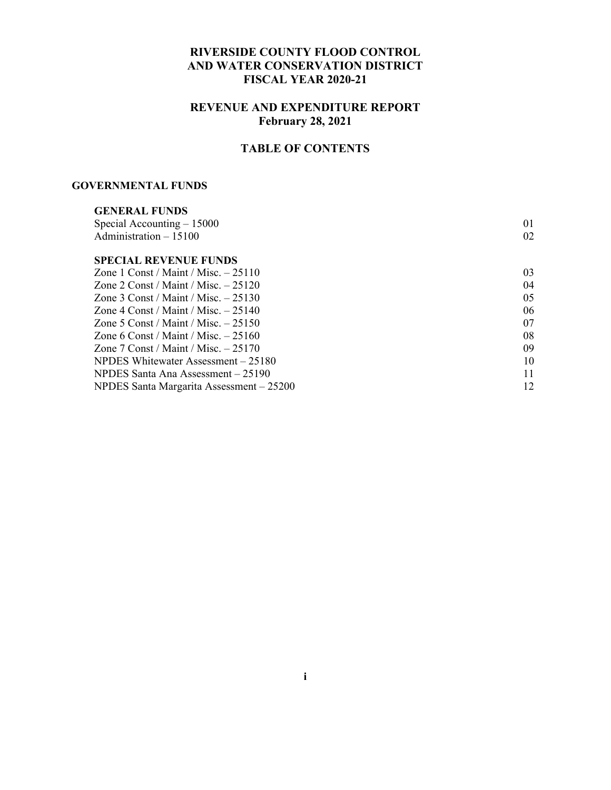#### **RIVERSIDE COUNTY FLOOD CONTROL AND WATER CONSERVATION DISTRICT FISCAL YEAR 2020-21**

#### **REVENUE AND EXPENDITURE REPORT February 28, 2021**

#### **TABLE OF CONTENTS**

#### **GOVERNMENTAL FUNDS**

| <b>GENERAL FUNDS</b>                     |    |
|------------------------------------------|----|
| Special Accounting $-15000$              | 01 |
| Administration $-15100$                  | 02 |
| <b>SPECIAL REVENUE FUNDS</b>             |    |
| Zone 1 Const / Maint / Misc. $-25110$    | 03 |
| Zone 2 Const / Maint / Misc. $-25120$    | 04 |
| Zone 3 Const / Maint / Misc. $-25130$    | 05 |
| Zone 4 Const / Maint / Misc. $-25140$    | 06 |
| Zone 5 Const / Maint / Misc. $-25150$    | 07 |
| Zone 6 Const / Maint / Misc. $-25160$    | 08 |
| Zone 7 Const / Maint / Misc. $-25170$    | 09 |
| NPDES Whitewater Assessment – 25180      | 10 |
| NPDES Santa Ana Assessment – 25190       | 11 |
| NPDES Santa Margarita Assessment - 25200 | 12 |
|                                          |    |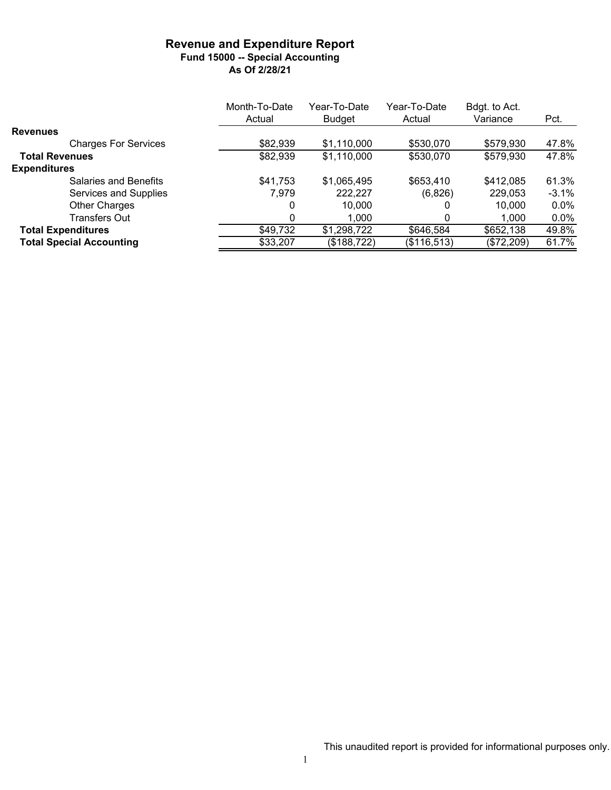#### **Revenue and Expenditure Report Fund 15000 -- Special Accounting As Of 2/28/21**

|                                 | Month-To-Date | Year-To-Date  | Year-To-Date | Bdgt. to Act. |         |
|---------------------------------|---------------|---------------|--------------|---------------|---------|
|                                 | Actual        | <b>Budget</b> | Actual       | Variance      | Pct.    |
| <b>Revenues</b>                 |               |               |              |               |         |
| <b>Charges For Services</b>     | \$82,939      | \$1,110,000   | \$530,070    | \$579,930     | 47.8%   |
| <b>Total Revenues</b>           | \$82,939      | \$1,110,000   | \$530,070    | \$579,930     | 47.8%   |
| <b>Expenditures</b>             |               |               |              |               |         |
| <b>Salaries and Benefits</b>    | \$41,753      | \$1,065,495   | \$653,410    | \$412,085     | 61.3%   |
| Services and Supplies           | 7,979         | 222,227       | (6,826)      | 229,053       | $-3.1%$ |
| <b>Other Charges</b>            | 0             | 10.000        |              | 10,000        | $0.0\%$ |
| <b>Transfers Out</b>            | 0             | 1,000         |              | 1,000         | $0.0\%$ |
| <b>Total Expenditures</b>       | \$49,732      | \$1,298,722   | \$646,584    | \$652,138     | 49.8%   |
| <b>Total Special Accounting</b> | \$33,207      | (\$188,722)   | (\$116,513)  | (\$72,209)    | 61.7%   |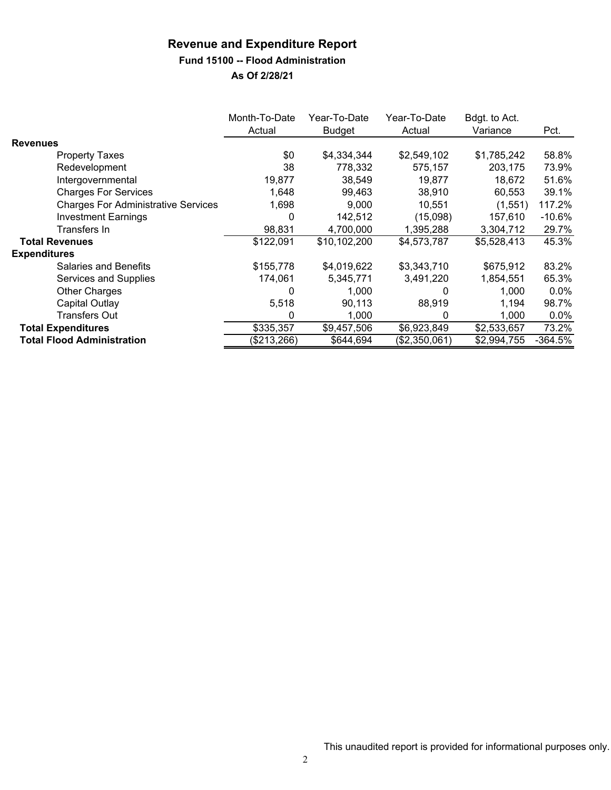#### **Fund 15100 -- Flood Administration**

|                                            | Month-To-Date<br>Actual | Year-To-Date<br><b>Budget</b> | Year-To-Date<br>Actual | Bdgt. to Act.<br>Variance | Pct.      |
|--------------------------------------------|-------------------------|-------------------------------|------------------------|---------------------------|-----------|
| <b>Revenues</b>                            |                         |                               |                        |                           |           |
| <b>Property Taxes</b>                      | \$0                     | \$4,334,344                   | \$2,549,102            | \$1,785,242               | 58.8%     |
| Redevelopment                              | 38                      | 778,332                       | 575,157                | 203,175                   | 73.9%     |
| Intergovernmental                          | 19,877                  | 38.549                        | 19.877                 | 18,672                    | 51.6%     |
| <b>Charges For Services</b>                | 1.648                   | 99.463                        | 38,910                 | 60,553                    | 39.1%     |
| <b>Charges For Administrative Services</b> | 1,698                   | 9,000                         | 10,551                 | (1,551)                   | 117.2%    |
| <b>Investment Earnings</b>                 | 0                       | 142,512                       | (15,098)               | 157,610                   | $-10.6%$  |
| Transfers In                               | 98,831                  | 4,700,000                     | 1,395,288              | 3,304,712                 | 29.7%     |
| <b>Total Revenues</b>                      | \$122,091               | \$10,102,200                  | \$4,573,787            | \$5,528,413               | 45.3%     |
| <b>Expenditures</b>                        |                         |                               |                        |                           |           |
| <b>Salaries and Benefits</b>               | \$155,778               | \$4,019,622                   | \$3,343,710            | \$675,912                 | 83.2%     |
| Services and Supplies                      | 174,061                 | 5,345,771                     | 3,491,220              | 1,854,551                 | 65.3%     |
| Other Charges                              | 0                       | 1,000                         |                        | 1.000                     | $0.0\%$   |
| Capital Outlay                             | 5,518                   | 90,113                        | 88,919                 | 1,194                     | 98.7%     |
| <b>Transfers Out</b>                       | 0                       | 1,000                         | 0                      | 1,000                     | $0.0\%$   |
| <b>Total Expenditures</b>                  | \$335,357               | \$9,457,506                   | \$6,923,849            | \$2,533,657               | 73.2%     |
| <b>Total Flood Administration</b>          | (\$213,266)             | \$644,694                     | (\$2,350,061)          | \$2,994,755               | $-364.5%$ |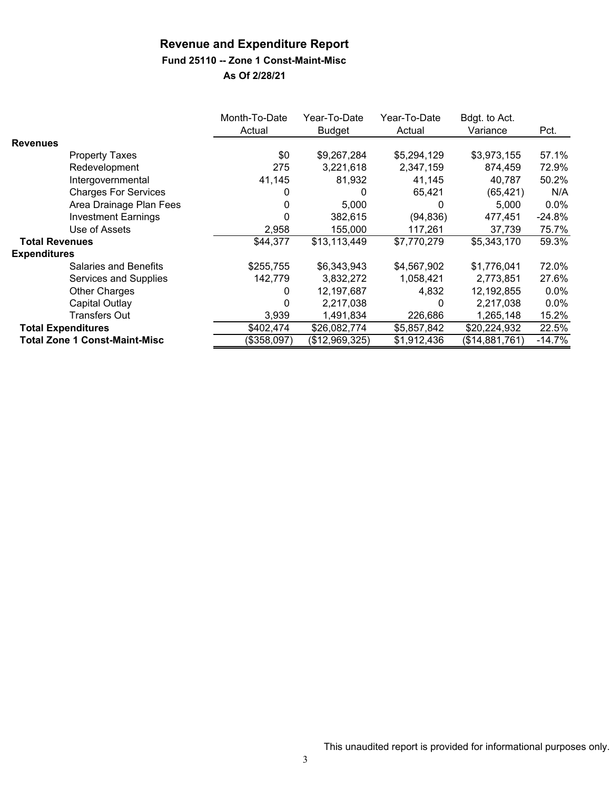#### **Fund 25110 -- Zone 1 Const-Maint-Misc**

|                       |                                      | Month-To-Date<br>Actual | Year-To-Date<br>Budget | Year-To-Date<br>Actual | Bdgt. to Act.<br>Variance | Pct.     |
|-----------------------|--------------------------------------|-------------------------|------------------------|------------------------|---------------------------|----------|
| <b>Revenues</b>       |                                      |                         |                        |                        |                           |          |
|                       | <b>Property Taxes</b>                | \$0                     | \$9,267,284            | \$5,294,129            | \$3,973,155               | 57.1%    |
|                       | Redevelopment                        | 275                     | 3,221,618              | 2,347,159              | 874,459                   | 72.9%    |
|                       | Intergovernmental                    | 41,145                  | 81,932                 | 41,145                 | 40,787                    | 50.2%    |
|                       | <b>Charges For Services</b>          |                         | 0                      | 65,421                 | (65, 421)                 | N/A      |
|                       | Area Drainage Plan Fees              | 0                       | 5,000                  | 0                      | 5,000                     | $0.0\%$  |
|                       | <b>Investment Earnings</b>           |                         | 382,615                | (94, 836)              | 477,451                   | -24.8%   |
|                       | Use of Assets                        | 2,958                   | 155,000                | 117,261                | 37,739                    | 75.7%    |
| <b>Total Revenues</b> |                                      | \$44,377                | \$13,113,449           | \$7,770,279            | \$5,343,170               | 59.3%    |
| <b>Expenditures</b>   |                                      |                         |                        |                        |                           |          |
|                       | <b>Salaries and Benefits</b>         | \$255,755               | \$6,343,943            | \$4,567,902            | \$1,776,041               | 72.0%    |
|                       | Services and Supplies                | 142,779                 | 3,832,272              | 1,058,421              | 2,773,851                 | 27.6%    |
|                       | Other Charges                        | 0                       | 12,197,687             | 4,832                  | 12,192,855                | $0.0\%$  |
|                       | Capital Outlay                       |                         | 2,217,038              | 0                      | 2,217,038                 | $0.0\%$  |
|                       | <b>Transfers Out</b>                 | 3,939                   | 1,491,834              | 226,686                | 1,265,148                 | 15.2%    |
|                       | <b>Total Expenditures</b>            | \$402,474               | \$26,082,774           | \$5,857,842            | \$20,224,932              | 22.5%    |
|                       | <b>Total Zone 1 Const-Maint-Misc</b> | (\$358,097)             | (\$12,969,325)         | \$1,912,436            | (\$14,881,761)            | $-14.7%$ |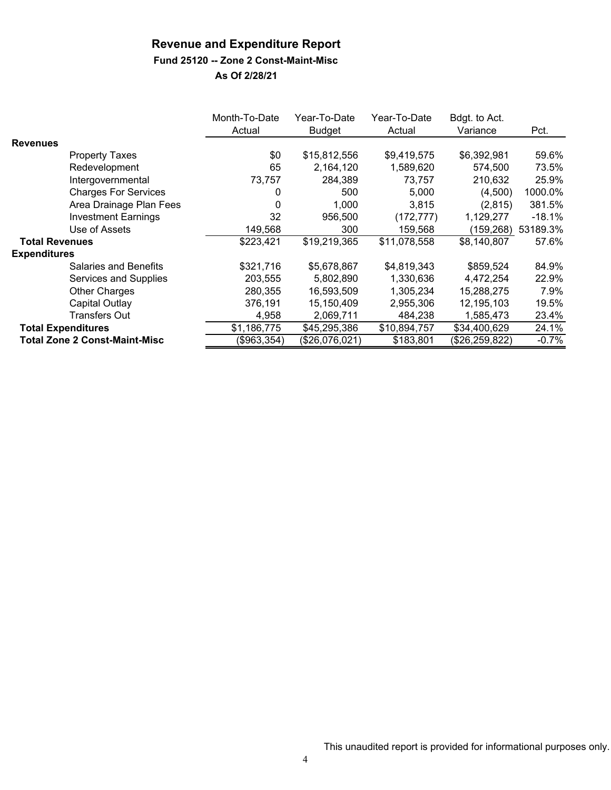#### **Fund 25120 -- Zone 2 Const-Maint-Misc**

|                       |                                      | Month-To-Date<br>Actual | Year-To-Date<br>Budget | Year-To-Date<br>Actual | Bdgt. to Act.<br>Variance | Pct.     |
|-----------------------|--------------------------------------|-------------------------|------------------------|------------------------|---------------------------|----------|
| <b>Revenues</b>       |                                      |                         |                        |                        |                           |          |
|                       | Property Taxes                       | \$0                     | \$15,812,556           | \$9,419,575            | \$6,392,981               | 59.6%    |
|                       | Redevelopment                        | 65                      | 2,164,120              | 1,589,620              | 574,500                   | 73.5%    |
|                       | Intergovernmental                    | 73,757                  | 284,389                | 73.757                 | 210,632                   | 25.9%    |
|                       | <b>Charges For Services</b>          | 0                       | 500                    | 5,000                  | (4,500)                   | 1000.0%  |
|                       | Area Drainage Plan Fees              | 0                       | 1,000                  | 3,815                  | (2,815)                   | 381.5%   |
|                       | <b>Investment Earnings</b>           | 32                      | 956,500                | (172, 777)             | 1,129,277                 | $-18.1%$ |
|                       | Use of Assets                        | 149,568                 | 300                    | 159,568                | (159,268)                 | 53189.3% |
| <b>Total Revenues</b> |                                      | \$223,421               | \$19,219,365           | \$11,078,558           | \$8,140,807               | 57.6%    |
| <b>Expenditures</b>   |                                      |                         |                        |                        |                           |          |
|                       | Salaries and Benefits                | \$321,716               | \$5,678,867            | \$4,819,343            | \$859,524                 | 84.9%    |
|                       | Services and Supplies                | 203,555                 | 5,802,890              | 1,330,636              | 4,472,254                 | 22.9%    |
|                       | <b>Other Charges</b>                 | 280,355                 | 16,593,509             | 1,305,234              | 15,288,275                | 7.9%     |
|                       | Capital Outlay                       | 376,191                 | 15,150,409             | 2,955,306              | 12,195,103                | 19.5%    |
|                       | Transfers Out                        | 4,958                   | 2,069,711              | 484,238                | 1,585,473                 | 23.4%    |
|                       | <b>Total Expenditures</b>            | \$1,186,775             | \$45,295,386           | \$10,894,757           | \$34,400,629              | 24.1%    |
|                       | <b>Total Zone 2 Const-Maint-Misc</b> | (\$963,354)             | (\$26,076,021)         | \$183,801              | (\$26,259,822)            | $-0.7%$  |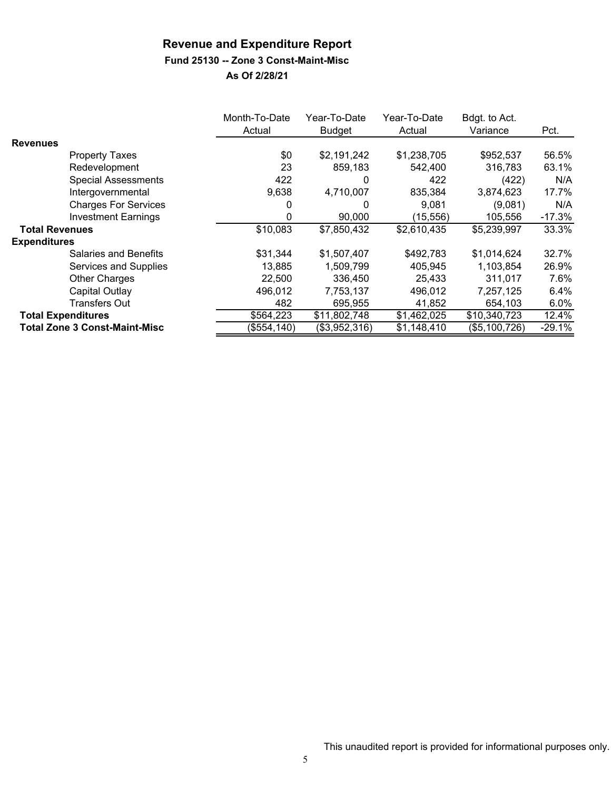#### **Fund 25130 -- Zone 3 Const-Maint-Misc**

|                           |                                      | Month-To-Date<br>Actual | Year-To-Date<br><b>Budget</b> | Year-To-Date<br>Actual | Bdgt. to Act.<br>Variance | Pct.     |
|---------------------------|--------------------------------------|-------------------------|-------------------------------|------------------------|---------------------------|----------|
| <b>Revenues</b>           |                                      |                         |                               |                        |                           |          |
|                           | <b>Property Taxes</b>                | \$0                     | \$2,191,242                   | \$1,238,705            | \$952,537                 | 56.5%    |
|                           | Redevelopment                        | 23                      | 859,183                       | 542,400                | 316,783                   | 63.1%    |
|                           | <b>Special Assessments</b>           | 422                     | 0                             | 422                    | (422)                     | N/A      |
|                           | Intergovernmental                    | 9,638                   | 4,710,007                     | 835,384                | 3,874,623                 | 17.7%    |
|                           | <b>Charges For Services</b>          |                         | 0                             | 9,081                  | (9,081)                   | N/A      |
|                           | <b>Investment Earnings</b>           | 0                       | 90,000                        | (15, 556)              | 105,556                   | $-17.3%$ |
| <b>Total Revenues</b>     |                                      | \$10,083                | \$7,850,432                   | \$2,610,435            | \$5,239,997               | 33.3%    |
| <b>Expenditures</b>       |                                      |                         |                               |                        |                           |          |
|                           | Salaries and Benefits                | \$31,344                | \$1,507,407                   | \$492,783              | \$1,014,624               | 32.7%    |
|                           | Services and Supplies                | 13,885                  | 1,509,799                     | 405,945                | 1,103,854                 | 26.9%    |
|                           | <b>Other Charges</b>                 | 22,500                  | 336,450                       | 25,433                 | 311.017                   | 7.6%     |
|                           | Capital Outlay                       | 496,012                 | 7,753,137                     | 496,012                | 7,257,125                 | 6.4%     |
|                           | Transfers Out                        | 482                     | 695.955                       | 41,852                 | 654,103                   | 6.0%     |
| <b>Total Expenditures</b> |                                      | \$564,223               | \$11,802,748                  | \$1,462,025            | \$10,340,723              | 12.4%    |
|                           | <b>Total Zone 3 Const-Maint-Misc</b> | (\$554, 140)            | (\$3,952,316)                 | \$1,148,410            | (\$5,100,726)             | $-29.1%$ |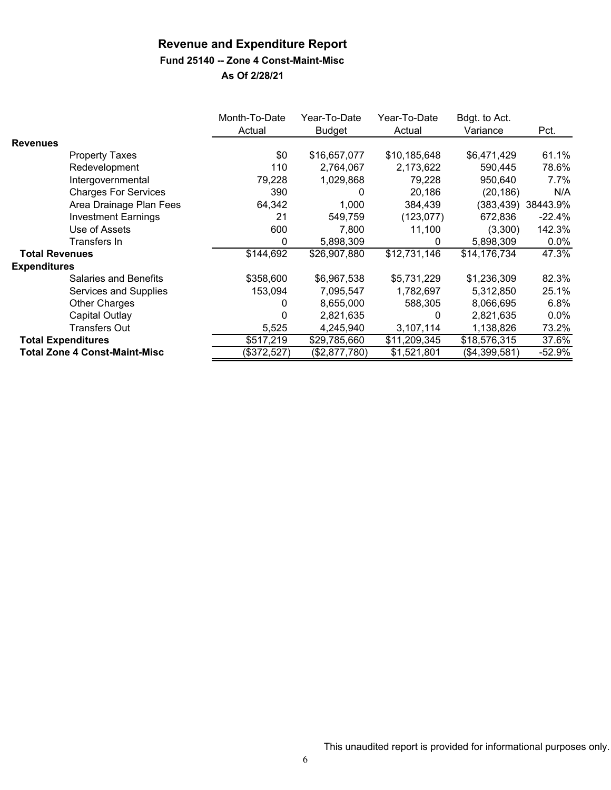#### **Fund 25140 -- Zone 4 Const-Maint-Misc**

|                       |                                      | Month-To-Date | Year-To-Date  | Year-To-Date | Bdgt. to Act. |          |
|-----------------------|--------------------------------------|---------------|---------------|--------------|---------------|----------|
|                       |                                      | Actual        | <b>Budget</b> | Actual       | Variance      | Pct.     |
| <b>Revenues</b>       |                                      |               |               |              |               |          |
|                       | <b>Property Taxes</b>                | \$0           | \$16,657,077  | \$10,185,648 | \$6,471,429   | 61.1%    |
|                       | Redevelopment                        | 110           | 2,764,067     | 2,173,622    | 590,445       | 78.6%    |
|                       | Intergovernmental                    | 79,228        | 1,029,868     | 79.228       | 950,640       | 7.7%     |
|                       | <b>Charges For Services</b>          | 390           | 0             | 20.186       | (20,186)      | N/A      |
|                       | Area Drainage Plan Fees              | 64,342        | 1,000         | 384,439      | (383,439)     | 38443.9% |
|                       | <b>Investment Earnings</b>           | 21            | 549,759       | (123, 077)   | 672,836       | $-22.4%$ |
|                       | Use of Assets                        | 600           | 7,800         | 11,100       | (3,300)       | 142.3%   |
|                       | Transfers In                         | 0             | 5,898,309     | 0            | 5,898,309     | $0.0\%$  |
| <b>Total Revenues</b> |                                      | \$144,692     | \$26,907,880  | \$12,731,146 | \$14,176,734  | 47.3%    |
| <b>Expenditures</b>   |                                      |               |               |              |               |          |
|                       | <b>Salaries and Benefits</b>         | \$358,600     | \$6,967,538   | \$5,731,229  | \$1,236,309   | 82.3%    |
|                       | Services and Supplies                | 153,094       | 7,095,547     | 1,782,697    | 5,312,850     | 25.1%    |
|                       | Other Charges                        | 0             | 8,655,000     | 588,305      | 8,066,695     | 6.8%     |
|                       | Capital Outlay                       | 0             | 2,821,635     | 0            | 2,821,635     | $0.0\%$  |
|                       | <b>Transfers Out</b>                 | 5,525         | 4,245,940     | 3,107,114    | 1,138,826     | 73.2%    |
|                       | <b>Total Expenditures</b>            | \$517,219     | \$29,785,660  | \$11,209,345 | \$18,576,315  | 37.6%    |
|                       | <b>Total Zone 4 Const-Maint-Misc</b> | (\$372,527)   | (\$2,877,780) | \$1,521,801  | (\$4,399,581) | $-52.9%$ |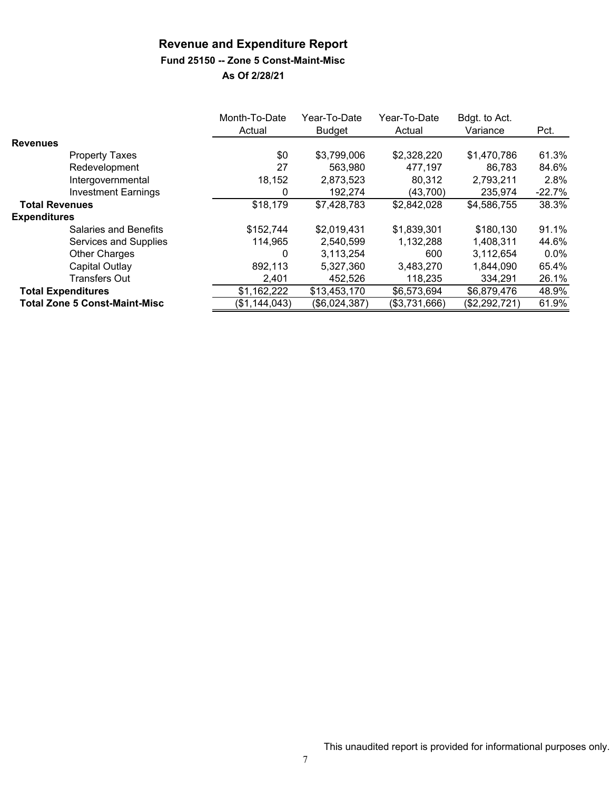#### **Fund 25150 -- Zone 5 Const-Maint-Misc**

|                                      | Month-To-Date<br>Actual | Year-To-Date<br>Budget | Year-To-Date<br>Actual | Bdgt. to Act.<br>Variance | Pct.     |
|--------------------------------------|-------------------------|------------------------|------------------------|---------------------------|----------|
| <b>Revenues</b>                      |                         |                        |                        |                           |          |
| <b>Property Taxes</b>                | \$0                     | \$3,799,006            | \$2,328,220            | \$1,470,786               | 61.3%    |
| Redevelopment                        | 27                      | 563.980                | 477,197                | 86.783                    | 84.6%    |
| Intergovernmental                    | 18,152                  | 2,873,523              | 80,312                 | 2,793,211                 | 2.8%     |
| <b>Investment Earnings</b>           | 0                       | 192,274                | (43,700)               | 235,974                   | $-22.7%$ |
| <b>Total Revenues</b>                | \$18,179                | \$7,428,783            | \$2,842,028            | \$4,586,755               | 38.3%    |
| <b>Expenditures</b>                  |                         |                        |                        |                           |          |
| Salaries and Benefits                | \$152,744               | \$2,019,431            | \$1,839,301            | \$180,130                 | 91.1%    |
| Services and Supplies                | 114,965                 | 2,540,599              | 1,132,288              | 1,408,311                 | 44.6%    |
| <b>Other Charges</b>                 | 0                       | 3,113,254              | 600                    | 3,112,654                 | $0.0\%$  |
| Capital Outlay                       | 892,113                 | 5,327,360              | 3,483,270              | 1,844,090                 | 65.4%    |
| <b>Transfers Out</b>                 | 2,401                   | 452,526                | 118,235                | 334,291                   | 26.1%    |
| <b>Total Expenditures</b>            | \$1,162,222             | \$13,453,170           | \$6,573,694            | \$6,879,476               | 48.9%    |
| <b>Total Zone 5 Const-Maint-Misc</b> | (\$1,144,043)           | $(\$6,024,387)$        | (\$3,731,666)          | (\$2,292,721)             | 61.9%    |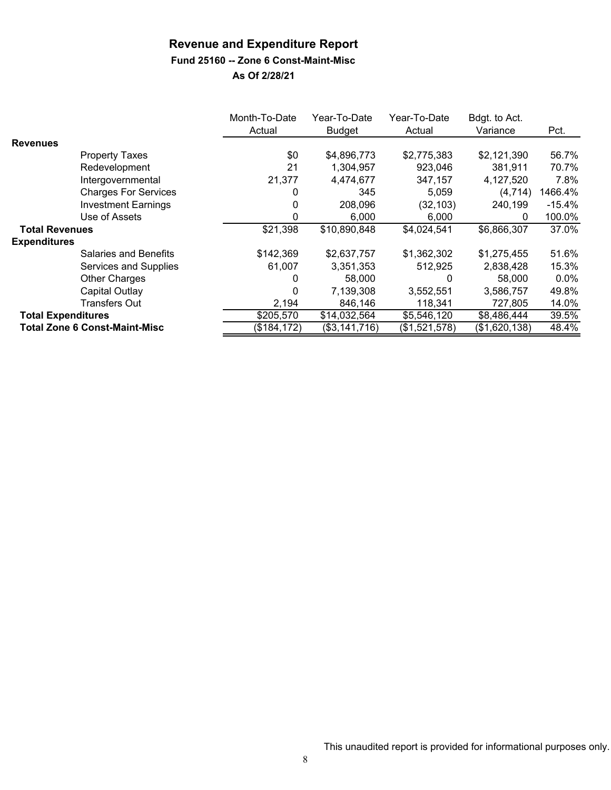#### **Fund 25160 -- Zone 6 Const-Maint-Misc**

|                           |                                      | Month-To-Date<br>Actual | Year-To-Date<br><b>Budget</b> | Year-To-Date<br>Actual | Bdgt. to Act.<br>Variance | Pct.     |
|---------------------------|--------------------------------------|-------------------------|-------------------------------|------------------------|---------------------------|----------|
| <b>Revenues</b>           |                                      |                         |                               |                        |                           |          |
|                           | <b>Property Taxes</b>                | \$0                     | \$4,896,773                   | \$2,775,383            | \$2,121,390               | 56.7%    |
|                           | Redevelopment                        | 21                      | 1,304,957                     | 923,046                | 381,911                   | 70.7%    |
|                           | Intergovernmental                    | 21,377                  | 4,474,677                     | 347,157                | 4,127,520                 | 7.8%     |
|                           | <b>Charges For Services</b>          |                         | 345                           | 5,059                  | (4, 714)                  | 1466.4%  |
|                           | <b>Investment Earnings</b>           | 0                       | 208,096                       | (32, 103)              | 240,199                   | $-15.4%$ |
|                           | Use of Assets                        | 0                       | 6,000                         | 6,000                  | 0                         | 100.0%   |
| <b>Total Revenues</b>     |                                      | \$21,398                | \$10,890,848                  | \$4,024,541            | \$6,866,307               | 37.0%    |
| <b>Expenditures</b>       |                                      |                         |                               |                        |                           |          |
|                           | <b>Salaries and Benefits</b>         | \$142,369               | \$2,637,757                   | \$1,362,302            | \$1,275,455               | 51.6%    |
|                           | Services and Supplies                | 61,007                  | 3,351,353                     | 512,925                | 2,838,428                 | 15.3%    |
|                           | <b>Other Charges</b>                 | 0                       | 58,000                        | 0                      | 58,000                    | $0.0\%$  |
|                           | Capital Outlay                       | 0                       | 7,139,308                     | 3,552,551              | 3,586,757                 | 49.8%    |
|                           | <b>Transfers Out</b>                 | 2,194                   | 846,146                       | 118,341                | 727,805                   | 14.0%    |
| <b>Total Expenditures</b> |                                      | \$205,570               | \$14,032,564                  | \$5,546,120            | \$8,486,444               | 39.5%    |
|                           | <b>Total Zone 6 Const-Maint-Misc</b> | (\$184, 172)            | (\$3,141,716)                 | (\$1,521,578)          | (\$1,620,138)             | 48.4%    |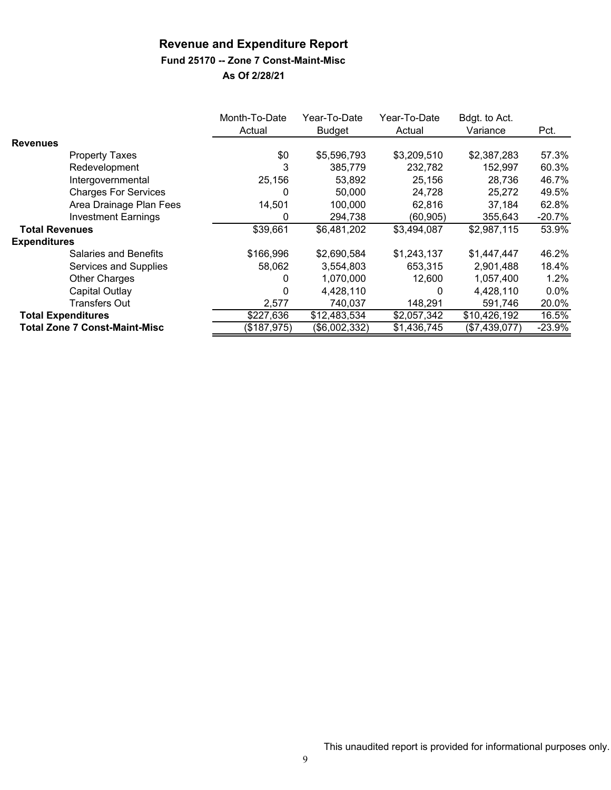#### **Fund 25170 -- Zone 7 Const-Maint-Misc**

|                           |                                      | Month-To-Date | Year-To-Date  | Year-To-Date | Bdgt. to Act. |          |
|---------------------------|--------------------------------------|---------------|---------------|--------------|---------------|----------|
|                           |                                      | Actual        | <b>Budget</b> | Actual       | Variance      | Pct.     |
| <b>Revenues</b>           |                                      |               |               |              |               |          |
|                           | <b>Property Taxes</b>                | \$0           | \$5,596,793   | \$3,209,510  | \$2,387,283   | 57.3%    |
|                           | Redevelopment                        | 3             | 385,779       | 232,782      | 152,997       | 60.3%    |
|                           | Intergovernmental                    | 25,156        | 53,892        | 25,156       | 28,736        | 46.7%    |
|                           | <b>Charges For Services</b>          | 0             | 50,000        | 24,728       | 25,272        | 49.5%    |
|                           | Area Drainage Plan Fees              | 14,501        | 100,000       | 62,816       | 37,184        | 62.8%    |
|                           | <b>Investment Earnings</b>           | 0             | 294,738       | (60, 905)    | 355,643       | $-20.7%$ |
| <b>Total Revenues</b>     |                                      | \$39,661      | \$6,481,202   | \$3,494,087  | \$2,987,115   | 53.9%    |
| <b>Expenditures</b>       |                                      |               |               |              |               |          |
|                           | <b>Salaries and Benefits</b>         | \$166,996     | \$2,690,584   | \$1,243,137  | \$1,447,447   | 46.2%    |
|                           | Services and Supplies                | 58,062        | 3,554,803     | 653,315      | 2,901,488     | 18.4%    |
|                           | <b>Other Charges</b>                 | 0             | 1,070,000     | 12.600       | 1,057,400     | $1.2\%$  |
|                           | Capital Outlay                       | $\Omega$      | 4,428,110     | 0            | 4,428,110     | $0.0\%$  |
|                           | <b>Transfers Out</b>                 | 2,577         | 740,037       | 148,291      | 591,746       | 20.0%    |
| <b>Total Expenditures</b> |                                      | \$227,636     | \$12,483,534  | \$2,057,342  | \$10,426,192  | 16.5%    |
|                           | <b>Total Zone 7 Const-Maint-Misc</b> | (\$187,975)   | (\$6,002,332) | \$1,436,745  | (\$7,439,077) | $-23.9%$ |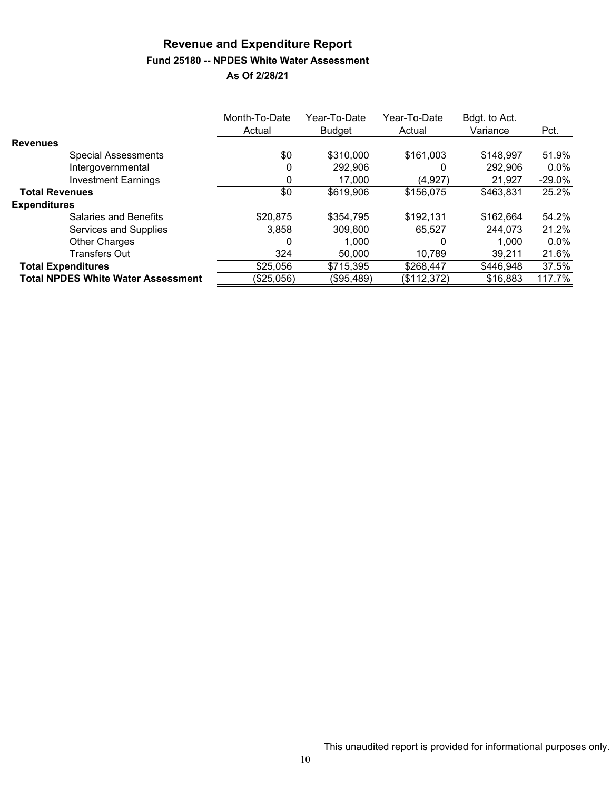## **Revenue and Expenditure Report Fund 25180 -- NPDES White Water Assessment**

|                                           | Month-To-Date<br>Actual | Year-To-Date<br><b>Budget</b> | Year-To-Date<br>Actual | Bdgt. to Act.<br>Variance | Pct.     |
|-------------------------------------------|-------------------------|-------------------------------|------------------------|---------------------------|----------|
| <b>Revenues</b>                           |                         |                               |                        |                           |          |
| <b>Special Assessments</b>                | \$0                     | \$310,000                     | \$161,003              | \$148,997                 | 51.9%    |
| Intergovernmental                         | 0                       | 292,906                       | 0                      | 292,906                   | $0.0\%$  |
| <b>Investment Earnings</b>                |                         | 17,000                        | (4, 927)               | 21,927                    | $-29.0%$ |
| <b>Total Revenues</b>                     | \$0                     | \$619,906                     | \$156,075              | \$463,831                 | 25.2%    |
| <b>Expenditures</b>                       |                         |                               |                        |                           |          |
| Salaries and Benefits                     | \$20,875                | \$354,795                     | \$192,131              | \$162,664                 | 54.2%    |
| Services and Supplies                     | 3.858                   | 309,600                       | 65.527                 | 244,073                   | 21.2%    |
| <b>Other Charges</b>                      | 0                       | 1.000                         | 0                      | 1,000                     | $0.0\%$  |
| <b>Transfers Out</b>                      | 324                     | 50,000                        | 10,789                 | 39,211                    | 21.6%    |
| <b>Total Expenditures</b>                 | \$25,056                | \$715,395                     | \$268,447              | \$446,948                 | 37.5%    |
| <b>Total NPDES White Water Assessment</b> | (\$25,056)              | (\$95,489)                    | (\$112,372)            | \$16,883                  | 117.7%   |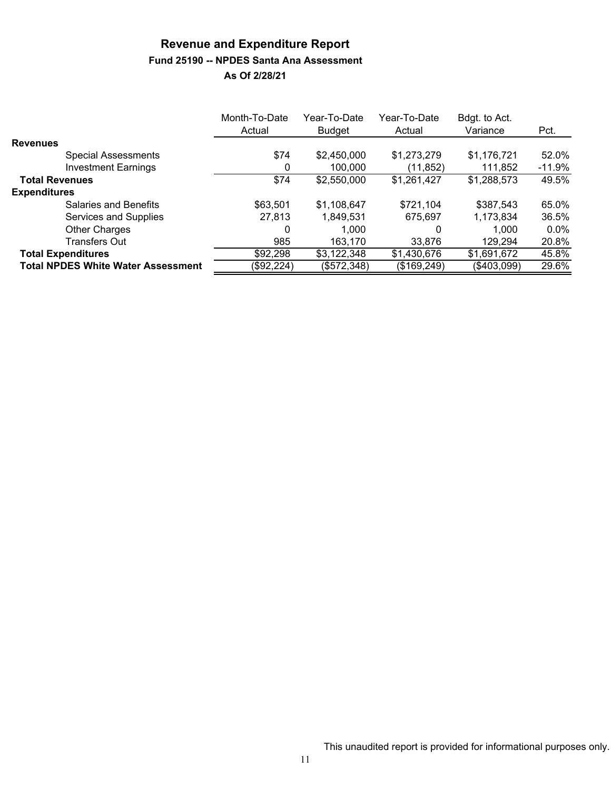# **Revenue and Expenditure Report Fund 25190 -- NPDES Santa Ana Assessment**

|                                           | Month-To-Date | Year-To-Date  | Year-To-Date | Bdgt. to Act. |         |
|-------------------------------------------|---------------|---------------|--------------|---------------|---------|
|                                           | Actual        | <b>Budget</b> | Actual       | Variance      | Pct.    |
| <b>Revenues</b>                           |               |               |              |               |         |
| <b>Special Assessments</b>                | \$74          | \$2,450,000   | \$1,273,279  | \$1,176,721   | 52.0%   |
| <b>Investment Earnings</b>                | O             | 100,000       | (11, 852)    | 111,852       | -11.9%  |
| <b>Total Revenues</b>                     | \$74          | \$2,550,000   | \$1,261,427  | \$1,288,573   | 49.5%   |
| <b>Expenditures</b>                       |               |               |              |               |         |
| <b>Salaries and Benefits</b>              | \$63,501      | \$1,108,647   | \$721,104    | \$387,543     | 65.0%   |
| Services and Supplies                     | 27,813        | 1,849,531     | 675.697      | 1,173,834     | 36.5%   |
| <b>Other Charges</b>                      | 0             | 1.000         | 0            | 1,000         | $0.0\%$ |
| <b>Transfers Out</b>                      | 985           | 163,170       | 33,876       | 129,294       | 20.8%   |
| <b>Total Expenditures</b>                 | \$92,298      | \$3,122,348   | \$1,430,676  | \$1,691,672   | 45.8%   |
| <b>Total NPDES White Water Assessment</b> | (\$92,224)    | (\$572,348)   | (\$169,249)  | (\$403,099)   | 29.6%   |